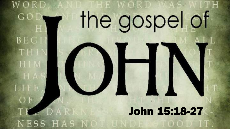# WORD E WORD the gospel of GO **BEG** TH H LIFE John 15:18-27NESS HAS NO TOOD IT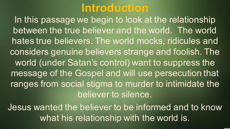## **Introduction**

In this passage we begin to look at the relationship between the true believer and the world. The world hates true believers. The world mocks, ridicules and considers genuine believers strange and foolish. The world (under Satan's control) want to suppress the message of the Gospel and will use persecution that ranges from social stigma to murder to intimidate the believer to silence.

Jesus wanted the believer to be informed and to know what his relationship with the world is.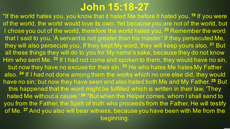## **John 15:18-27**

"If the world hates you, you know that it hated Me before it hated you. **<sup>19</sup>** If you were of the world, the world would love its own. Yet because you are not of the world, but I chose you out of the world, therefore the world hates you. **<sup>20</sup>** Remember the word that I said to you, 'A servant is not greater than his master.' If they persecuted Me, they will also persecute you. If they kept My word, they will keep yours also. **<sup>21</sup>** But all these things they will do to you for My name's sake, because they do not know Him who sent Me. **<sup>22</sup>** If I had not come and spoken to them, they would have no sin, but now they have no excuse for their sin. **<sup>23</sup>** He who hates Me hates My Father also. **<sup>24</sup>** If I had not done among them the works which no one else did, they would have no sin; but now they have seen and also hated both Me and My Father. **<sup>25</sup>** But this happened that the word might be fulfilled which is written in their law, 'They hated Me without a cause.' **<sup>26</sup>** "But when the Helper comes, whom I shall send to you from the Father, the Spirit of truth who proceeds from the Father, He will testify of Me. **<sup>27</sup>** And you also will bear witness, because you have been with Me from the beginning.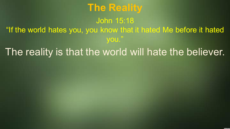## **The Reality**

#### John 15:18 "If the world hates you, you know that it hated Me before it hated you."

#### The reality is that the world will hate the believer.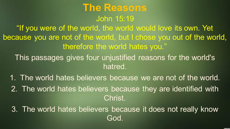### **The Reasons** John 15:19

"If you were of the world, the world would love its own. Yet because you are not of the world, but I chose you out of the world, therefore the world hates you."

This passages gives four unjustified reasons for the world's hatred.

1. The world hates believers because we are not of the world.

2. The world hates believers because they are identified with Christ.

3. The world hates believers because it does not really know God.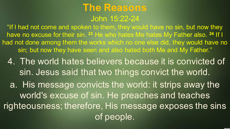#### **The Reasons** John 15:22-24

"If I had not come and spoken to them, they would have no sin, but now they have no excuse for their sin. **<sup>23</sup>** He who hates Me hates My Father also. **<sup>24</sup>** If I had not done among them the works which no one else did, they would have no sin; but now they have seen and also hated both Me and My Father."

4. The world hates believers because it is convicted of sin. Jesus said that two things convict the world.

a. His message convicts the world: it strips away the world's excuse of sin. He preaches and teaches righteousness; therefore, His message exposes the sins of people.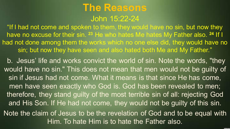#### **The Reasons** John 15:22-24

"If I had not come and spoken to them, they would have no sin, but now they have no excuse for their sin. **<sup>23</sup>** He who hates Me hates My Father also. **<sup>24</sup>** If I had not done among them the works which no one else did, they would have no sin; but now they have seen and also hated both Me and My Father."

b. Jesus' life and works convict the world of sin. Note the words, "they would have no sin." This does not mean that men would not be guilty of sin if Jesus had not come. What it means is that since He has come, men have seen exactly who God is. God has been revealed to men; therefore, they stand guilty of the most terrible sin of all: rejecting God and His Son. If He had not come, they would not be guilty of this sin. Note the claim of Jesus to be the revelation of God and to be equal with Him. To hate Him is to hate the Father also.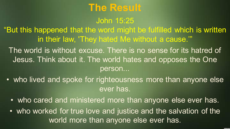### **The Result**

John 15:25

"But this happened that the word might be fulfilled which is written in their law, 'They hated Me without a cause.'"

The world is without excuse. There is no sense for its hatred of Jesus. Think about it. The world hates and opposes the One person...

- who lived and spoke for righteousness more than anyone else ever has.
	- who cared and ministered more than anyone else ever has.
	- who worked for true love and justice and the salvation of the world more than anyone else ever has.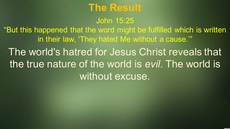### **The Result**

John 15:25

"But this happened that the word might be fulfilled which is written in their law, 'They hated Me without a cause.'"

The world's hatred for Jesus Christ reveals that the true nature of the world is *evil*. The world is without excuse.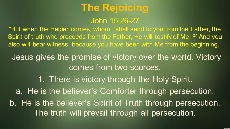John 15:26-27

"But when the Helper comes, whom I shall send to you from the Father, the Spirit of truth who proceeds from the Father, He will testify of Me. **<sup>27</sup>** And you also will bear witness, because you have been with Me from the beginning."

Jesus gives the promise of victory over the world. Victory comes from two sources.

1. There is victory through the Holy Spirit. a. He is the believer's Comforter through persecution. b. He is the believer's Spirit of Truth through persecution. The truth will prevail through all persecution.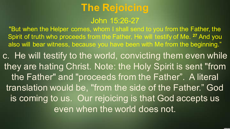John 15:26-27

"But when the Helper comes, whom I shall send to you from the Father, the Spirit of truth who proceeds from the Father, He will testify of Me. **<sup>27</sup>** And you also will bear witness, because you have been with Me from the beginning."

c. He will testify to the world, convicting them even while they are hating Christ. Note: the Holy Spirit is sent "from the Father" and "proceeds from the Father". A literal translation would be, "from the side of the Father." God is coming to us. Our rejoicing is that God accepts us even when the world does not.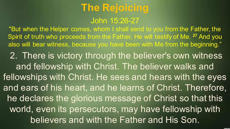John 15:26-27

"But when the Helper comes, whom I shall send to you from the Father, the Spirit of truth who proceeds from the Father, He will testify of Me. **<sup>27</sup>** And you also will bear witness, because you have been with Me from the beginning."

2. There is victory through the believer's own witness and fellowship with Christ. The believer walks and fellowships with Christ. He sees and hears with the eyes and ears of his heart, and he learns of Christ. Therefore, he declares the glorious message of Christ so that this world, even its persecutors, may have fellowship with believers and with the Father and His Son.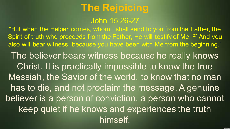John 15:26-27

"But when the Helper comes, whom I shall send to you from the Father, the Spirit of truth who proceeds from the Father, He will testify of Me. **<sup>27</sup>** And you also will bear witness, because you have been with Me from the beginning." The believer bears witness because he really knows Christ. It is practically impossible to know the true Messiah, the Savior of the world, to know that no man has to die, and not proclaim the message. A genuine believer is a person of conviction, a person who cannot keep quiet if he knows and experiences the truth himself.